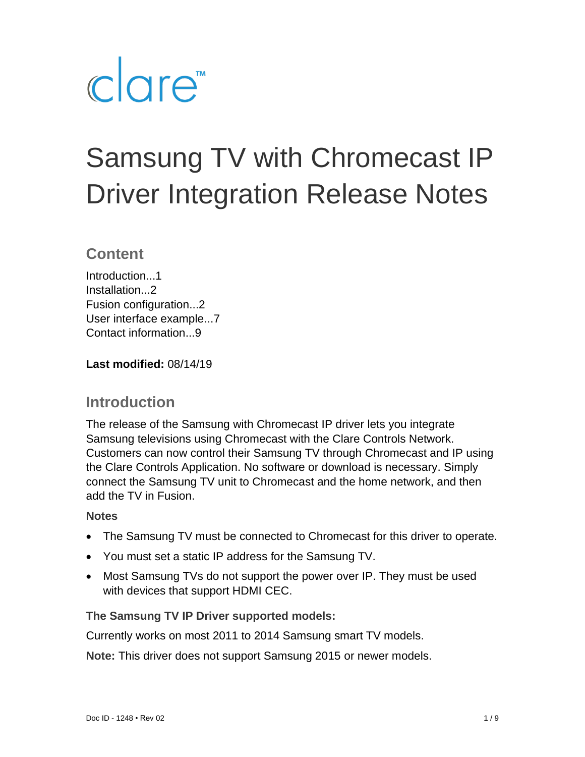# clare<sup>"</sup>

# Samsung TV with Chromecast IP Driver Integration Release Notes

### **Content**

Introduction<sub>1</sub> Installation...2 Fusion configuration...2 User interface example...7 Contact information...9

**Last modified:** 08/14/19

# **Introduction**

The release of the Samsung with Chromecast IP driver lets you integrate Samsung televisions using Chromecast with the Clare Controls Network. Customers can now control their Samsung TV through Chromecast and IP using the Clare Controls Application. No software or download is necessary. Simply connect the Samsung TV unit to Chromecast and the home network, and then add the TV in Fusion.

#### **Notes**

- The Samsung TV must be connected to Chromecast for this driver to operate.
- You must set a static IP address for the Samsung TV.
- Most Samsung TVs do not support the power over IP. They must be used with devices that support HDMI CEC.

#### **The Samsung TV IP Driver supported models:**

Currently works on most 2011 to 2014 Samsung smart TV models.

**Note:** This driver does not support Samsung 2015 or newer models.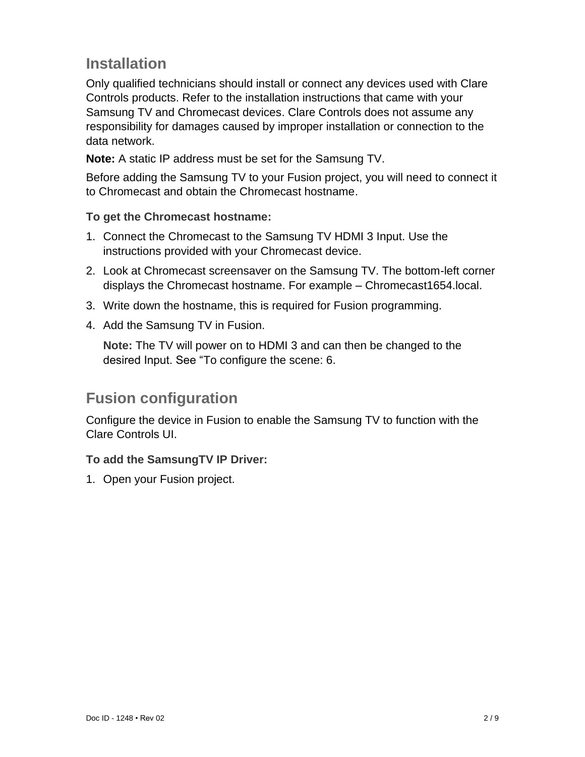# **Installation**

Only qualified technicians should install or connect any devices used with Clare Controls products. Refer to the installation instructions that came with your Samsung TV and Chromecast devices. Clare Controls does not assume any responsibility for damages caused by improper installation or connection to the data network.

**Note:** A static IP address must be set for the Samsung TV.

Before adding the Samsung TV to your Fusion project, you will need to connect it to Chromecast and obtain the Chromecast hostname.

#### **To get the Chromecast hostname:**

- 1. Connect the Chromecast to the Samsung TV HDMI 3 Input. Use the instructions provided with your Chromecast device.
- 2. Look at Chromecast screensaver on the Samsung TV. The bottom-left corner displays the Chromecast hostname. For example – Chromecast1654.local.
- 3. Write down the hostname, this is required for Fusion programming.
- 4. Add the Samsung TV in Fusion.

**Note:** The TV will power on to HDMI 3 and can then be changed to the desired Input. See ["To configure the scene:](#page-5-0) [6.](#page-5-0)

## **Fusion configuration**

Configure the device in Fusion to enable the Samsung TV to function with the Clare Controls UI.

#### **To add the SamsungTV IP Driver:**

1. Open your Fusion project.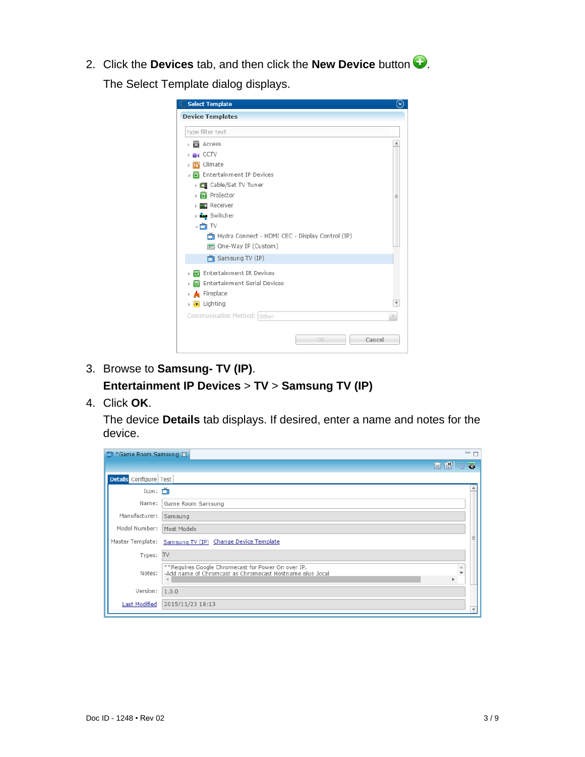2. Click the **Devices** tab, and then click the **New Device** button  $\bullet$ . The Select Template dialog displays.

| type filter text                                |  |
|-------------------------------------------------|--|
| <b>Access</b>                                   |  |
| $\blacksquare$                                  |  |
| 76 Climate                                      |  |
| <b>B</b> Entertainment IP Devices<br>ä.         |  |
| → 首目 Cable/Sat TV Tuner                         |  |
| ▶ B Projector                                   |  |
| <b>Receiver</b>                                 |  |
| → Šwitcher                                      |  |
| ⊿ñ ™                                            |  |
| Hydra Connect - HDMI CEC - Display Control (IP) |  |
| One-Way IP (Custom)                             |  |
| Samsung TV (IP)                                 |  |
| <b>B</b> Entertainment IR Devices               |  |
| Entertainment Serial Devices                    |  |
| > K Fireplace                                   |  |
| <b>E</b> Lighting                               |  |
| Communication Method: Other                     |  |
|                                                 |  |

- 3. Browse to **Samsung- TV (IP)**. **Entertainment IP Devices** > **TV** > **Samsung TV (IP)**
- 4. Click **OK**.

The device **Details** tab displays. If desired, enter a name and notes for the device.

| 首*Game Room Samsung 8  |                                                                                                                 |             | $=$ $\Box$ |
|------------------------|-----------------------------------------------------------------------------------------------------------------|-------------|------------|
|                        |                                                                                                                 | <b>HKES</b> |            |
| Details Configure Test |                                                                                                                 |             |            |
| Icon: $\sum$           |                                                                                                                 |             |            |
| Name:                  | Game Room Samsung                                                                                               |             |            |
| Manufacturer:          | Samsung                                                                                                         |             |            |
| Model Number:          | Most Models                                                                                                     |             |            |
| Master Template:       | Samsung TV (IP) Change Device Template                                                                          |             |            |
| Types: TV              |                                                                                                                 |             |            |
| Notes:                 | **Requires Google Chromecast for Power On over IP.<br>-Add name of Chromcast as Chromecast Hostname plus .local | A<br>ь.     |            |
| Version: $1.0.0$       |                                                                                                                 |             |            |
| Last Modified          | 2015/11/23 18:13                                                                                                |             |            |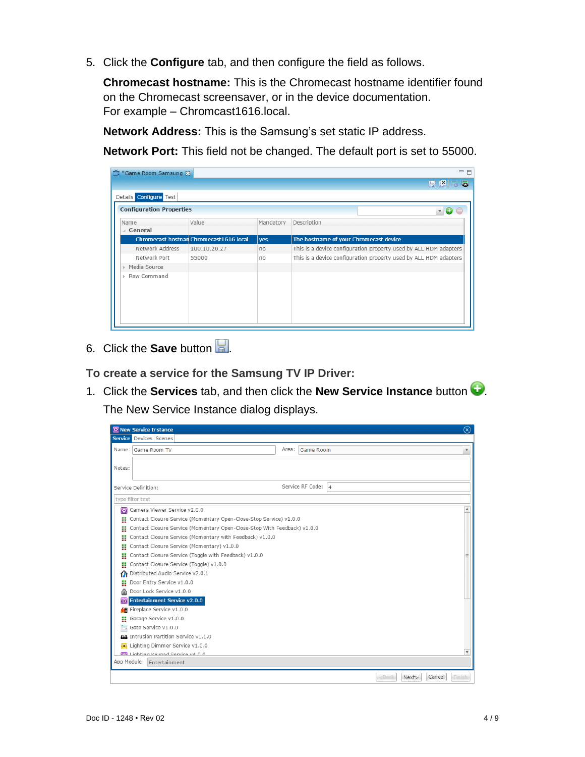5. Click the **Configure** tab, and then configure the field as follows.

**Chromecast hostname:** This is the Chromecast hostname identifier found on the Chromecast screensaver, or in the device documentation. For example – Chromcast1616.local.

**Network Address:** This is the Samsung's set static IP address.

**Network Port:** This field not be changed. The default port is set to 55000.

| 台 *Game Room Samsung &          |                                         |           | $=$ $F$                                                          |
|---------------------------------|-----------------------------------------|-----------|------------------------------------------------------------------|
|                                 |                                         |           | $H$ $R$ $R$ $R$                                                  |
| Details <b>Configure</b> Test   |                                         |           |                                                                  |
| <b>Configuration Properties</b> |                                         |           | $\sqrt{ }$                                                       |
| Name                            | Value                                   | Mandatory | Description                                                      |
| ⊿ General                       |                                         |           |                                                                  |
|                                 | Chromecast hostnan Chromecast1616.local | yes       | The hostname of your Chromecast device                           |
| Network Address                 | 100.10.20.27                            | no        | This is a device configuration property used by ALL HDM adapters |
| Network Port                    | 55000                                   | no        | This is a device configuration property used by ALL HDM adapters |
| Media Source                    |                                         |           |                                                                  |
| Raw Command                     |                                         |           |                                                                  |

6. Click the **Save** button ...

**To create a service for the Samsung TV IP Driver:** 

1. Click the **Services** tab, and then click the **New Service Instance** button .

The New Service Instance dialog displays.

|                                       | $\circledR$<br><b>RE</b> New Service Instance                            |       |                    |                           |                         |  |
|---------------------------------------|--------------------------------------------------------------------------|-------|--------------------|---------------------------|-------------------------|--|
|                                       | <b>Service</b> Devices Scenes                                            |       |                    |                           |                         |  |
|                                       | Name: Game Room TV                                                       | Area: | <b>Game Room</b>   |                           | $\overline{\mathbf{v}}$ |  |
|                                       |                                                                          |       |                    |                           |                         |  |
| Notes:                                |                                                                          |       |                    |                           |                         |  |
|                                       |                                                                          |       |                    |                           |                         |  |
|                                       | Service Definition:                                                      |       | Service RF Code: 4 |                           |                         |  |
|                                       | type filter text                                                         |       |                    |                           |                         |  |
| 霐                                     | Camera Viewer Service v2.0.0                                             |       |                    |                           |                         |  |
|                                       | Contact Closure Service (Momentary Open-Close-Stop Service) v1.0.0       |       |                    |                           |                         |  |
|                                       | Contact Closure Service (Momentary Open-Close-Stop With Feedback) v1.0.0 |       |                    |                           |                         |  |
| H                                     | Contact Closure Service (Momentary with Feedback) v1.0.0                 |       |                    |                           |                         |  |
| H                                     | Contact Closure Service (Momentary) v1.0.0                               |       |                    |                           |                         |  |
| ×                                     | Contact Closure Service (Toggle with Feedback) v1.0.0                    |       |                    |                           |                         |  |
| H                                     | Contact Closure Service (Toggle) v1.0.0                                  |       |                    |                           |                         |  |
|                                       | Distributed Audio Service v2.0.1                                         |       |                    |                           |                         |  |
| H                                     | Door Entry Service v1.0.0                                                |       |                    |                           |                         |  |
| ⋒                                     | Door Lock Service v1.0.0                                                 |       |                    |                           |                         |  |
|                                       | Entertainment Service v2.0.0                                             |       |                    |                           |                         |  |
|                                       | Fireplace Service v1.0.0                                                 |       |                    |                           |                         |  |
| H                                     | Garage Service v1.0.0                                                    |       |                    |                           |                         |  |
| ÷.                                    | Gate Service v1.0.0                                                      |       |                    |                           |                         |  |
| AA Intrusion Partition Service v1.1.0 |                                                                          |       |                    |                           |                         |  |
|                                       | Lighting Dimmer Service v1.0.0                                           |       |                    |                           |                         |  |
|                                       | $\overline{\mathbf{v}}$<br><b>EN</b> Lighting Keynad Service v4 0.0      |       |                    |                           |                         |  |
|                                       | App Module: Entertainment                                                |       |                    |                           |                         |  |
|                                       |                                                                          |       |                    | <bac<br>Next&gt;</bac<br> | Cancel<br>Finish        |  |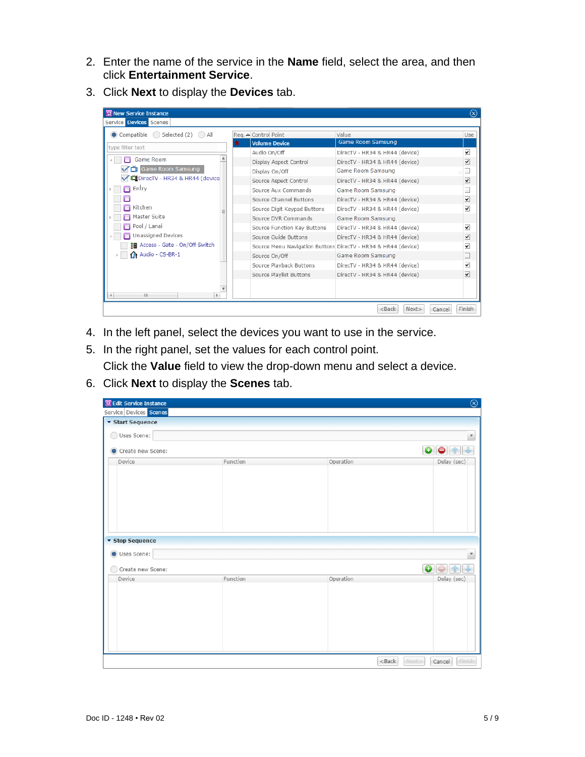- 2. Enter the name of the service in the **Name** field, select the area, and then click **Entertainment Service**.
- 3. Click **Next** to display the **Devices** tab.

| <b>RE New Service Instance</b><br>$(\mathsf{x})$ |                             |                                                               |                      |  |  |  |  |
|--------------------------------------------------|-----------------------------|---------------------------------------------------------------|----------------------|--|--|--|--|
| Service Devices Scenes                           |                             |                                                               |                      |  |  |  |  |
| $\bullet$ Compatible $\circ$ Selected (2)<br>All | Req. △ Control Point        | Value                                                         | Use                  |  |  |  |  |
| type filter text                                 | <b>Volume Device</b>        | Game Room Samsung                                             |                      |  |  |  |  |
|                                                  | Audio On/Off                | DirecTV - HR34 & HR44 (device)                                | ⊻                    |  |  |  |  |
| <b>Game Room</b>                                 | Display Aspect Control      | DirecTV - HR34 & HR44 (device)                                | ✓                    |  |  |  |  |
| Game Room Samsung<br>ا گا                        | Display On/Off              | Game Room Samsung                                             |                      |  |  |  |  |
| DirecTV - HR34 & HR44 (device                    | Source Aspect Control       | DirecTV - HR34 & HR44 (device)                                | ⊻                    |  |  |  |  |
| Entry                                            | Source Aux Commands         | Game Room Samsung                                             |                      |  |  |  |  |
|                                                  | Source Channel Buttons      | DirecTV - HR34 & HR44 (device)                                | ☑                    |  |  |  |  |
| Kitchen                                          | Source Digit Keypad Buttons | DirecTV - HR34 & HR44 (device)                                | ⊽                    |  |  |  |  |
| Master Suite                                     | Source DVR Commands         | Game Room Samsung                                             |                      |  |  |  |  |
| Pool / Lanai                                     | Source Function Key Buttons | DirecTV - HR34 & HR44 (device)                                | ⊻                    |  |  |  |  |
| Unassigned Devices                               | Source Guide Buttons        | DirecTV - HR34 & HR44 (device)                                | ⊻                    |  |  |  |  |
| ‡⊞ Access - Gate - On/Off Switch                 |                             | Source Menu Navigation Buttons DirecTV - HR34 & HR44 (device) | $\blacktriangledown$ |  |  |  |  |
| Audio - CS-BR-1                                  | Source On/Off               | Game Room Samsung                                             |                      |  |  |  |  |
|                                                  | Source Playback Buttons     | DirecTV - HR34 & HR44 (device)                                | ⊻                    |  |  |  |  |
|                                                  | Source Playlist Buttons     | DirecTV - HR34 & HR44 (device)                                | ⋥                    |  |  |  |  |
| $\overline{\mathbf{v}}$                          |                             |                                                               |                      |  |  |  |  |
| HL.<br>$\left  \cdot \right $<br>$\mathbb{R}$    |                             |                                                               |                      |  |  |  |  |
|                                                  |                             | <back<br>Next</back<br>                                       | Finish<br>Cancel     |  |  |  |  |

- 4. In the left panel, select the devices you want to use in the service.
- 5. In the right panel, set the values for each control point.

Click the **Value** field to view the drop-down menu and select a device.

6. Click **Next** to display the **Scenes** tab.

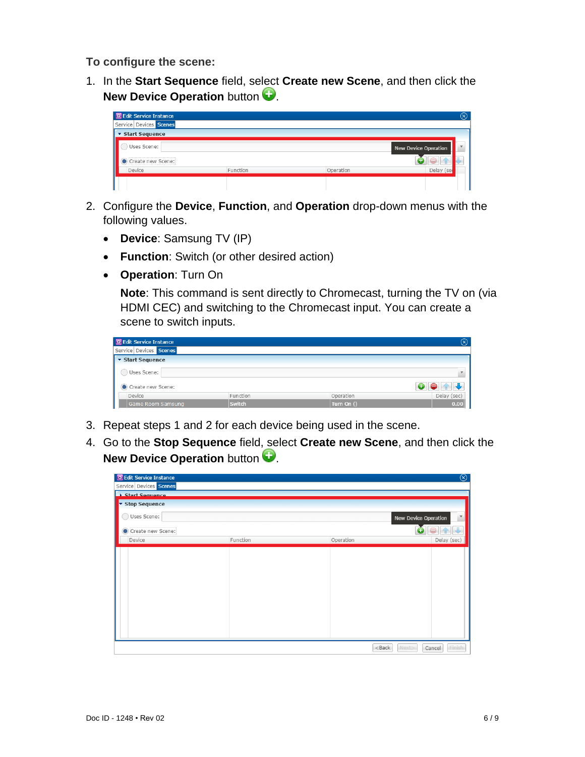<span id="page-5-0"></span>**To configure the scene:**

1. In the **Start Sequence** field, select **Create new Scene**, and then click the **New Device Operation** button  $\bullet$ .



- 2. Configure the **Device**, **Function**, and **Operation** drop-down menus with the following values.
	- **Device**: Samsung TV (IP)
	- **Function**: Switch (or other desired action)
	- **Operation**: Turn On

**Note**: This command is sent directly to Chromecast, turning the TV on (via HDMI CEC) and switching to the Chromecast input. You can create a scene to switch inputs.

| <b>R</b> Edit Service Instance |          |              | $\circledR$ |
|--------------------------------|----------|--------------|-------------|
| Service Devices Scenes         |          |              |             |
| ▼ Start Sequence               |          |              |             |
| Uses Scene:                    |          |              |             |
| Create new Scene:              |          |              |             |
| Device                         | Function | Operation    | Delay (sec) |
| Game Room Samsung              | Switch   | Turn On $()$ | 0.00        |

- 3. Repeat steps 1 and 2 for each device being used in the scene.
- 4. Go to the **Stop Sequence** field, select **Create new Scene**, and then click the **New Device Operation** button  $\bullet$ .

| <b>Edit Service Instance</b> |          |           | $^{\circledR}$              |
|------------------------------|----------|-----------|-----------------------------|
| Service Devices Scenes       |          |           |                             |
| <b>Start Sequence</b>        |          |           |                             |
| Stop Sequence                |          |           |                             |
| Uses Scene:                  |          |           | <b>New Device Operation</b> |
| Create new Scene:            |          |           |                             |
| Device                       | Function | Operation | Delay (sec)                 |
|                              |          |           |                             |
|                              |          | $<$ Back  | Next><br>Finish<br>Cancel   |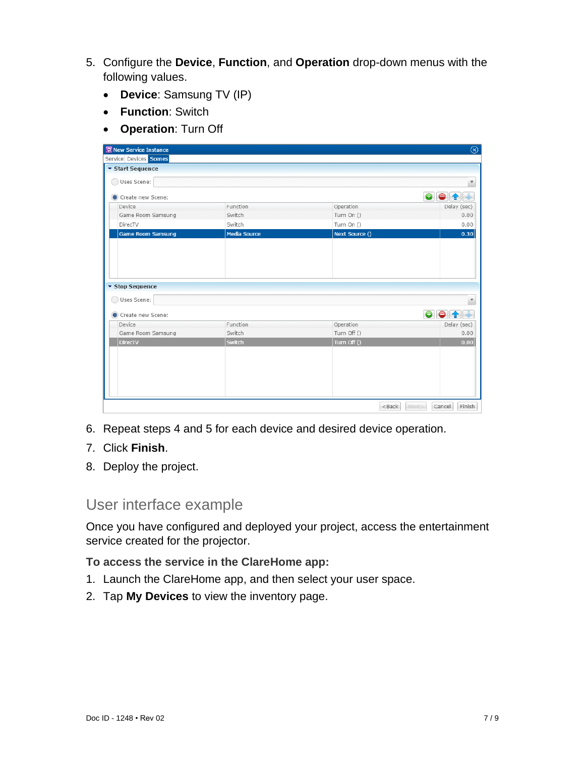- 5. Configure the **Device**, **Function**, and **Operation** drop-down menus with the following values.
	- **Device**: Samsung TV (IP)
	- **Function**: Switch
	- **Operation**: Turn Off

| $\circledcirc$<br><b>RE</b> New Service Instance |                     |                |                             |  |
|--------------------------------------------------|---------------------|----------------|-----------------------------|--|
| Service Devices Scenes<br>▼ Start Sequence       |                     |                |                             |  |
|                                                  |                     |                |                             |  |
| Uses Scene:<br>$($ )                             |                     |                | $\overline{\mathbf v}$      |  |
| Create new Scene:                                |                     |                | $\bullet$<br>$\bullet$<br>曾 |  |
| Device                                           | Function            | Operation      | Delay (sec)                 |  |
| Game Room Samsung                                | Switch              | Turn On ()     | 0.00                        |  |
| DirecTV                                          | Switch              | Turn On ()     | 0.00                        |  |
| <b>Game Room Samsung</b>                         | <b>Media Source</b> | Next Source () | 0.30                        |  |
|                                                  |                     |                |                             |  |
|                                                  |                     |                |                             |  |
|                                                  |                     |                |                             |  |
|                                                  |                     |                |                             |  |
|                                                  |                     |                |                             |  |
| ▼ Stop Sequence                                  |                     |                |                             |  |
| Uses Scene:                                      |                     |                | $\overline{\mathbf v}$      |  |
|                                                  |                     |                |                             |  |
| Create new Scene:                                |                     |                | $\bullet$<br>⊜<br>€         |  |
| Device                                           | Function            | Operation      | Delay (sec)                 |  |
| Game Room Samsung                                | Switch              | Turn Off ()    | 0.00                        |  |
| <b>DirecTV</b>                                   | Switch              | Turn Off ()    | 0.00                        |  |
|                                                  |                     |                |                             |  |
|                                                  |                     |                |                             |  |
|                                                  |                     |                |                             |  |
|                                                  |                     |                |                             |  |
|                                                  |                     |                |                             |  |
|                                                  |                     |                |                             |  |
|                                                  |                     | $<$ Back       | Finish<br>Next><br>Cancel   |  |

- 6. Repeat steps 4 and 5 for each device and desired device operation.
- 7. Click **Finish**.
- 8. Deploy the project.

#### User interface example

Once you have configured and deployed your project, access the entertainment service created for the projector.

**To access the service in the ClareHome app:** 

- 1. Launch the ClareHome app, and then select your user space.
- 2. Tap **My Devices** to view the inventory page.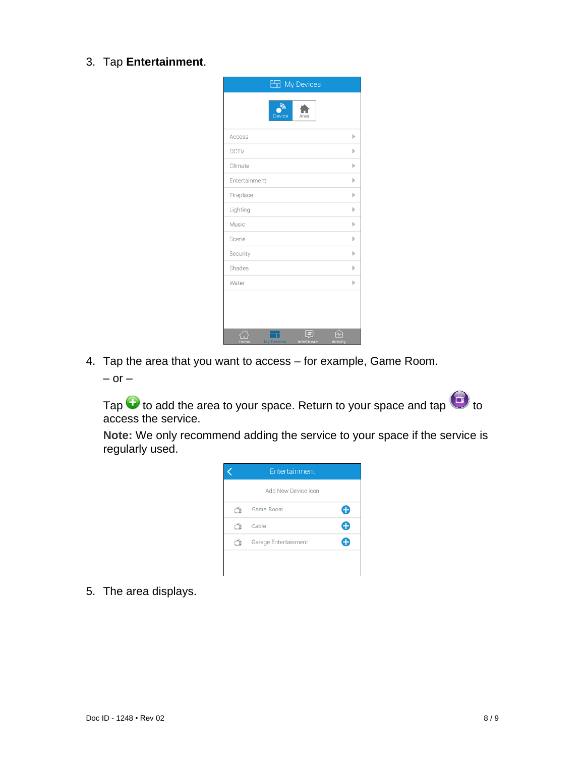3. Tap **Entertainment**.

| <b>But</b> My Devices       |                        |
|-----------------------------|------------------------|
| Э.<br><b>Device</b><br>Area |                        |
| Access                      | Þ                      |
| CCTV                        | Ъ                      |
| Climate                     | Þ                      |
| Entertainment               | Þ                      |
| Fireplace                   | Þ                      |
| Lighting                    | Þ                      |
| Music                       | Þ                      |
| Scene                       | Þ                      |
| Security                    | Þ                      |
| Shades                      | Þ                      |
| Water                       | Þ                      |
|                             |                        |
| Home<br><b>My Devices</b>   | InfoStream<br>Activity |

4. Tap the area that you want to access – for example, Game Room.

 $-$  or  $-$ 

Tap  $\bigodot$  to add the area to your space. Return to your space and tap  $\bigodot$  to access the service.

**Note:** We only recommend adding the service to your space if the service is regularly used.

| Entertainment        |  |
|----------------------|--|
| Add New Device Icon  |  |
| Game Room            |  |
| Cable                |  |
| Garage Entertainment |  |
|                      |  |
|                      |  |

5. The area displays.